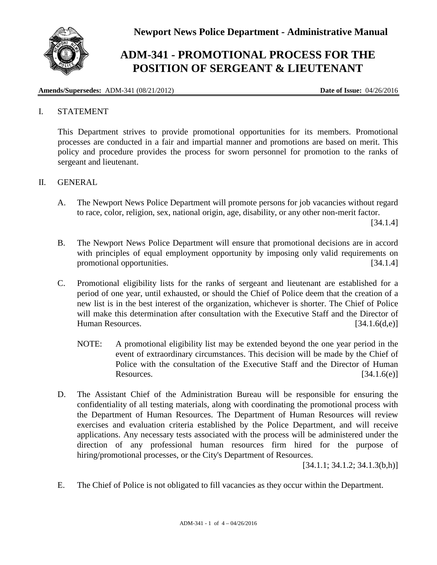

## **ADM-341 - PROMOTIONAL PROCESS FOR THE POSITION OF SERGEANT & LIEUTENANT**

**Amends/Supersedes:** ADM-341 (08/21/2012) **Date of Issue:** 04/26/2016

## I. STATEMENT

This Department strives to provide promotional opportunities for its members. Promotional processes are conducted in a fair and impartial manner and promotions are based on merit. This policy and procedure provides the process for sworn personnel for promotion to the ranks of sergeant and lieutenant.

## II. GENERAL

A. The Newport News Police Department will promote persons for job vacancies without regard to race, color, religion, sex, national origin, age, disability, or any other non-merit factor.

[34.1.4]

- B. The Newport News Police Department will ensure that promotional decisions are in accord with principles of equal employment opportunity by imposing only valid requirements on promotional opportunities. [34.1.4]
- C. Promotional eligibility lists for the ranks of sergeant and lieutenant are established for a period of one year, until exhausted, or should the Chief of Police deem that the creation of a new list is in the best interest of the organization, whichever is shorter. The Chief of Police will make this determination after consultation with the Executive Staff and the Director of Human Resources. [34.1.6(d,e)]
	- NOTE: A promotional eligibility list may be extended beyond the one year period in the event of extraordinary circumstances. This decision will be made by the Chief of Police with the consultation of the Executive Staff and the Director of Human Resources.  $[34.1.6(e)]$
- D. The Assistant Chief of the Administration Bureau will be responsible for ensuring the confidentiality of all testing materials, along with coordinating the promotional process with the Department of Human Resources. The Department of Human Resources will review exercises and evaluation criteria established by the Police Department, and will receive applications. Any necessary tests associated with the process will be administered under the direction of any professional human resources firm hired for the purpose of hiring/promotional processes, or the City's Department of Resources.

 $[34.1.1; 34.1.2; 34.1.3(b,h)]$ 

E. The Chief of Police is not obligated to fill vacancies as they occur within the Department.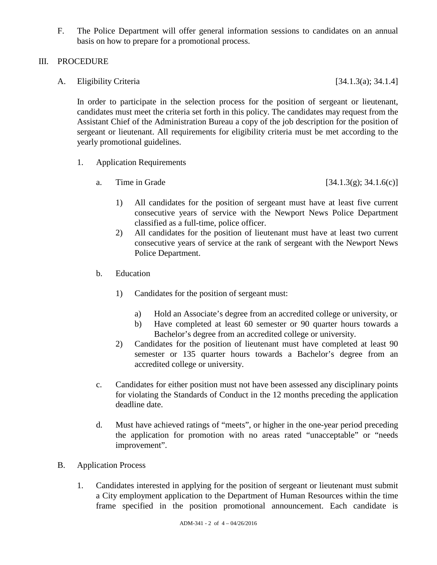F. The Police Department will offer general information sessions to candidates on an annual basis on how to prepare for a promotional process.

## III. PROCEDURE

A. Eligibility Criteria [34.1.3(a); 34.1.4]

In order to participate in the selection process for the position of sergeant or lieutenant, candidates must meet the criteria set forth in this policy. The candidates may request from the Assistant Chief of the Administration Bureau a copy of the job description for the position of sergeant or lieutenant. All requirements for eligibility criteria must be met according to the yearly promotional guidelines.

- 1. Application Requirements
	- a. Time in Grade  $[34.1.3(g); 34.1.6(c)]$ 
		- 1) All candidates for the position of sergeant must have at least five current consecutive years of service with the Newport News Police Department classified as a full-time, police officer.
		- 2) All candidates for the position of lieutenant must have at least two current consecutive years of service at the rank of sergeant with the Newport News Police Department.
	- b. Education
		- 1) Candidates for the position of sergeant must:
			- a) Hold an Associate's degree from an accredited college or university, or
			- b) Have completed at least 60 semester or 90 quarter hours towards a Bachelor's degree from an accredited college or university.
		- 2) Candidates for the position of lieutenant must have completed at least 90 semester or 135 quarter hours towards a Bachelor's degree from an accredited college or university.
	- c. Candidates for either position must not have been assessed any disciplinary points for violating the Standards of Conduct in the 12 months preceding the application deadline date.
	- d. Must have achieved ratings of "meets", or higher in the one-year period preceding the application for promotion with no areas rated "unacceptable" or "needs improvement".
- B. Application Process
	- 1. Candidates interested in applying for the position of sergeant or lieutenant must submit a City employment application to the Department of Human Resources within the time frame specified in the position promotional announcement. Each candidate is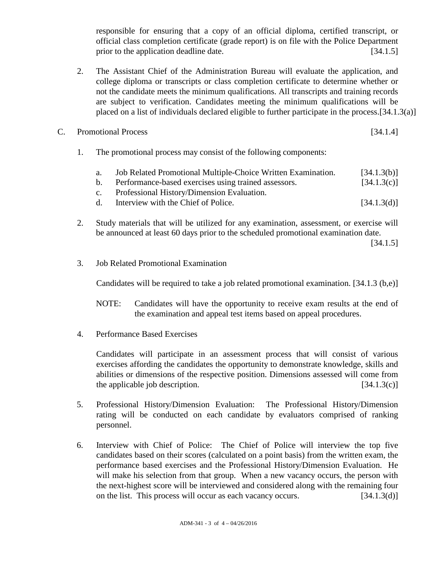responsible for ensuring that a copy of an official diploma, certified transcript, or official class completion certificate (grade report) is on file with the Police Department prior to the application deadline date. [34.1.5]

- 2. The Assistant Chief of the Administration Bureau will evaluate the application, and college diploma or transcripts or class completion certificate to determine whether or not the candidate meets the minimum qualifications. All transcripts and training records are subject to verification. Candidates meeting the minimum qualifications will be placed on a list of individuals declared eligible to further participate in the process.[34.1.3(a)]
- C. Promotional Process [34.1.4]
	- 1. The promotional process may consist of the following components:

|  |  |  |  | Job Related Promotional Multiple-Choice Written Examination. | [34.1.3(b)]                        |
|--|--|--|--|--------------------------------------------------------------|------------------------------------|
|  |  |  |  |                                                              | $\sim$ $\sim$ $\sim$ $\sim$ $\sim$ |

- b. Performance-based exercises using trained assessors. [34.1.3(c)] c. Professional History/Dimension Evaluation.
- d. Interview with the Chief of Police. [34.1.3(d)]
- 2. Study materials that will be utilized for any examination, assessment, or exercise will be announced at least 60 days prior to the scheduled promotional examination date.

[34.1.5]

3. Job Related Promotional Examination

Candidates will be required to take a job related promotional examination. [34.1.3 (b,e)]

- NOTE: Candidates will have the opportunity to receive exam results at the end of the examination and appeal test items based on appeal procedures.
- 4. Performance Based Exercises

Candidates will participate in an assessment process that will consist of various exercises affording the candidates the opportunity to demonstrate knowledge, skills and abilities or dimensions of the respective position. Dimensions assessed will come from the applicable job description.  $[34.1.3(c)]$ 

- 5. Professional History/Dimension Evaluation: The Professional History/Dimension rating will be conducted on each candidate by evaluators comprised of ranking personnel.
- 6. Interview with Chief of Police: The Chief of Police will interview the top five candidates based on their scores (calculated on a point basis) from the written exam, the performance based exercises and the Professional History/Dimension Evaluation. He will make his selection from that group. When a new vacancy occurs, the person with the next-highest score will be interviewed and considered along with the remaining four on the list. This process will occur as each vacancy occurs. [34.1.3(d)]